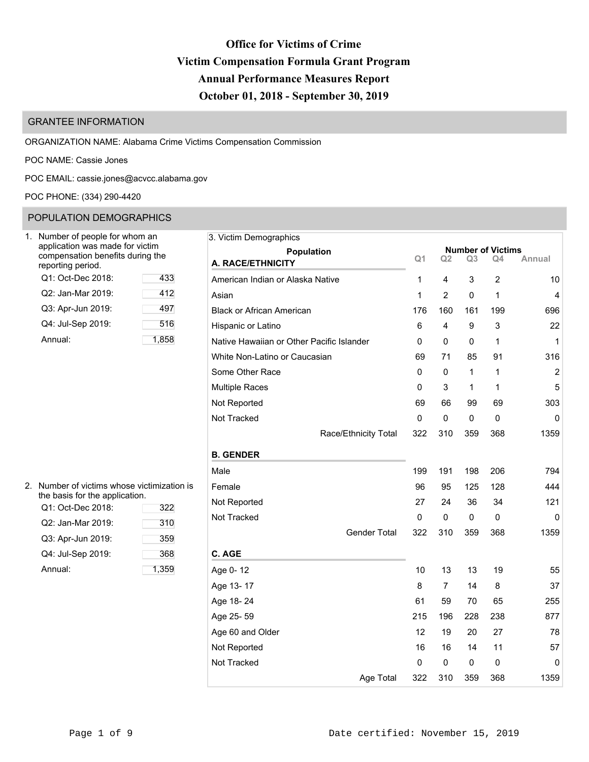# **Office for Victims of Crime Victim Compensation Formula Grant Program Annual Performance Measures Report October 01, 2018 - September 30, 2019**

# GRANTEE INFORMATION

ORGANIZATION NAME: Alabama Crime Victims Compensation Commission

POC NAME: Cassie Jones

POC EMAIL: [cassie.jones@acvcc.alabama.gov](mailto:cassie.jones@acvcc.alabama.gov)

## POC PHONE: (334) 290-4420

## POPULATION DEMOGRAPHICS

| Number of people for whom an<br>application was made for victim<br>compensation benefits during the<br>reporting period. |      |
|--------------------------------------------------------------------------------------------------------------------------|------|
| Q1: Oct-Dec 2018:                                                                                                        | 433  |
| Q2: Jan-Mar 2019:                                                                                                        | 412  |
| Q3: Apr-Jun 2019:                                                                                                        | 497  |
| Q4: Jul-Sep 2019:                                                                                                        | 516  |
| Annual:                                                                                                                  | 1,85 |

| Number of people for whom an<br>application was made for victim |       | 3. Victim Demographics                    |                  |                |                |                |                                |                |
|-----------------------------------------------------------------|-------|-------------------------------------------|------------------|----------------|----------------|----------------|--------------------------------|----------------|
| compensation benefits during the<br>eporting period.            |       | Population<br>A. RACE/ETHNICITY           |                  | Q <sub>1</sub> | Q <sub>2</sub> | Q <sub>3</sub> | <b>Number of Victims</b><br>Q4 | Annual         |
| Q1: Oct-Dec 2018:                                               | 433   | American Indian or Alaska Native          | 1                |                | 4              | 3              | $\overline{2}$                 | 10             |
| Q2: Jan-Mar 2019:                                               | 412   | Asian                                     |                  | 1              | $\overline{2}$ | 0              | 1                              | 4              |
| Q3: Apr-Jun 2019:                                               | 497   | <b>Black or African American</b>          | 176              |                | 160            | 161            | 199                            | 696            |
| Q4: Jul-Sep 2019:                                               | 516   | Hispanic or Latino                        | 6                |                | 4              | 9              | 3                              | 22             |
| Annual:                                                         | 1,858 | Native Hawaiian or Other Pacific Islander | 0                |                | 0              | 0              | 1                              | $\mathbf{1}$   |
|                                                                 |       | White Non-Latino or Caucasian             |                  | 69             | 71             | 85             | 91                             | 316            |
|                                                                 |       | Some Other Race                           | 0                |                | 0              | 1              | 1                              | $\overline{c}$ |
|                                                                 |       | <b>Multiple Races</b>                     | 0                |                | 3              | 1              | $\mathbf{1}$                   | 5              |
|                                                                 |       | Not Reported                              | 69               |                | 66             | 99             | 69                             | 303            |
|                                                                 |       | Not Tracked                               | 0                |                | 0              | 0              | 0                              | 0              |
|                                                                 |       | Race/Ethnicity Total                      | 322              |                | 310            | 359            | 368                            | 1359           |
|                                                                 |       | <b>B. GENDER</b>                          |                  |                |                |                |                                |                |
|                                                                 |       | Male                                      | 199              |                | 191            | 198            | 206                            | 794            |
| Number of victims whose victimization is                        |       | Female                                    |                  | 96             | 95             | 125            | 128                            | 444            |
| he basis for the application.<br>Q1: Oct-Dec 2018:              | 322   | Not Reported                              |                  | 27             | 24             | 36             | 34                             | 121            |
| Q2: Jan-Mar 2019:                                               | 310   | Not Tracked                               | 0                |                | 0              | 0              | 0                              | 0              |
| Q3: Apr-Jun 2019:                                               | 359   | Gender Total                              | 322              |                | 310            | 359            | 368                            | 1359           |
| Q4: Jul-Sep 2019:                                               | 368   | C. AGE                                    |                  |                |                |                |                                |                |
| Annual:                                                         | 1,359 | Age 0-12                                  |                  | 10             | 13             | 13             | 19                             | 55             |
|                                                                 |       | Age 13-17                                 | 8                |                | $\overline{7}$ | 14             | 8                              | 37             |
|                                                                 |       | Age 18-24                                 | 61               |                | 59             | 70             | 65                             | 255            |
|                                                                 |       | Age 25-59                                 | 215              |                | 196            | 228            | 238                            | 877            |
|                                                                 |       | Age 60 and Older                          |                  | 12             | 19             | 20             | 27                             | 78             |
|                                                                 |       | Not Reported                              |                  | 16             | 16             | 14             | 11                             | 57             |
|                                                                 |       | Not Tracked                               | 0                |                | 0              | 0              | 0                              | 0              |
|                                                                 |       |                                           | Age Total<br>322 |                | 310            | 359            | 368                            | 1359           |
|                                                                 |       |                                           |                  |                |                |                |                                |                |

| 2. Number of victims whose victimization is |
|---------------------------------------------|
| the basis for the application.              |

| Q1: Oct-Dec 2018: | 322   | 11011100 |
|-------------------|-------|----------|
| Q2: Jan-Mar 2019: | 310   | Not Trac |
| Q3: Apr-Jun 2019: | 359   |          |
| Q4: Jul-Sep 2019: | 368   | C. AGE   |
| Annual:           | 1,359 | Age 0-1  |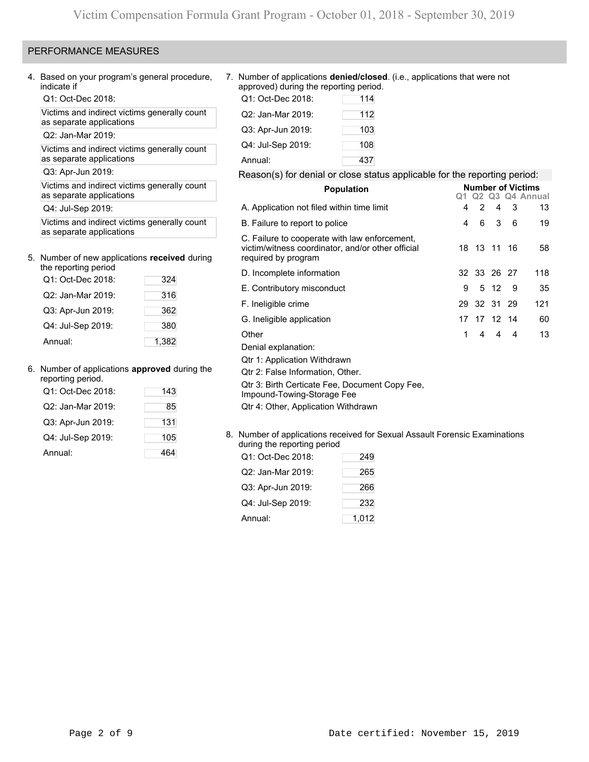### PERFORMANCE MEASURES

4. Based on your program's general procedure, indicate if

Q1: Oct-Dec 2018:

Victims and indirect victims generally count as separate applications

Q2: Jan-Mar 2019:

Victims and indirect victims generally count as separate applications

Q3: Apr-Jun 2019:

Victims and indirect victims generally count as separate applications

Q4: Jul-Sep 2019:

Victims and indirect victims generally count as separate applications

# 5. Number of new applications **received** during

| the reporting period |       |
|----------------------|-------|
| Q1: Oct-Dec 2018:    | 324   |
| Q2: Jan-Mar 2019:    | 316   |
| Q3: Apr-Jun 2019:    | 362   |
| Q4: Jul-Sep 2019:    | 380   |
| Annual:              | 1,382 |

### 6. Number of applications **approved** during the

| reporting period.<br>Q1: Oct-Dec 2018: | 143 |
|----------------------------------------|-----|
|                                        |     |
| Q2: Jan-Mar 2019:                      | 85  |
| Q3: Apr-Jun 2019:                      | 131 |
| Q4: Jul-Sep 2019:                      | 105 |
| Annual:                                |     |

7. Number of applications **denied/closed**. (i.e., applications that were not approved) during the reporting period.

| Q1: Oct-Dec 2018: | 114 |
|-------------------|-----|
| Q2: Jan-Mar 2019: | 112 |
| Q3: Apr-Jun 2019: | 103 |
| Q4: Jul-Sep 2019: | 108 |
| Annual:           | 437 |

### Reason(s) for denial or close status applicable for the reporting period:

| <b>Population</b>                                                                                                         |   |                |             |                | <b>Number of Victims</b><br>Q <sub>2</sub> Q <sub>3</sub> Q <sub>4</sub> Annual |  |  |
|---------------------------------------------------------------------------------------------------------------------------|---|----------------|-------------|----------------|---------------------------------------------------------------------------------|--|--|
| A. Application not filed within time limit                                                                                | 4 | 2              | 4 3         |                | 13                                                                              |  |  |
| B. Failure to report to police                                                                                            | 4 | 6              | 3           | 6              | 19                                                                              |  |  |
| C. Failure to cooperate with law enforcement,<br>victim/witness coordinator, and/or other official<br>required by program |   |                | 18 13 11 16 |                | 58                                                                              |  |  |
| D. Incomplete information                                                                                                 |   |                | 32 33 26 27 |                | 118                                                                             |  |  |
| E. Contributory misconduct                                                                                                | 9 |                | 5 12        | - 9            | 35                                                                              |  |  |
| F. Ineligible crime                                                                                                       |   |                | 29 32 31 29 |                | 121                                                                             |  |  |
| G. Ineligible application                                                                                                 |   |                | 17 17 12 14 |                | 60                                                                              |  |  |
| Other                                                                                                                     | 1 | $\overline{4}$ | 4           | $\overline{4}$ | 13                                                                              |  |  |
| Denial explanation:                                                                                                       |   |                |             |                |                                                                                 |  |  |
| Qtr 1: Application Withdrawn                                                                                              |   |                |             |                |                                                                                 |  |  |
| Qtr 2: False Information, Other.                                                                                          |   |                |             |                |                                                                                 |  |  |
| Qtr 3: Birth Certicate Fee, Document Copy Fee,<br>Impound-Towing-Storage Fee                                              |   |                |             |                |                                                                                 |  |  |
| Qtr 4: Other, Application Withdrawn                                                                                       |   |                |             |                |                                                                                 |  |  |
| Number of annicotions resolved for Covual Assoult Ferencia Examinations                                                   |   |                |             |                |                                                                                 |  |  |

8. Number of applications received for Sexual Assault Forensic Examinations during the reporting period

| Q1: Oct-Dec 2018: | 249   |
|-------------------|-------|
| Q2: Jan-Mar 2019: | 265   |
| Q3: Apr-Jun 2019: | 266   |
| Q4: Jul-Sep 2019: | 232   |
| Annual:           | 1,012 |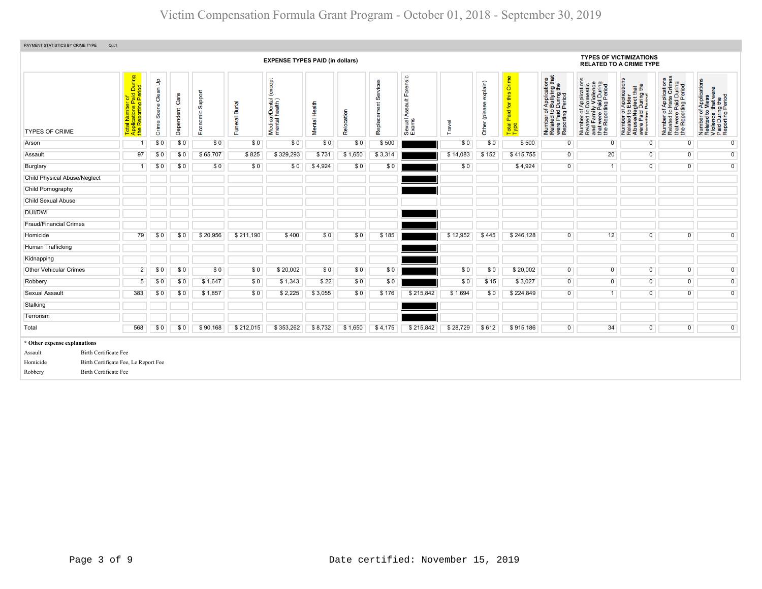| PAYMENT STATISTICS BY CRIME TYPE<br>Qtr:1                                                                                                                              |                                                                                                                                                         |                                   |                   |                     |                          |                                           |               |            |                            |                                     |          |                           |                                           |                                                                                                |                                                                                                                       |                                                                                                                                                      |                                                                                                                                   |                                                                                                        |
|------------------------------------------------------------------------------------------------------------------------------------------------------------------------|---------------------------------------------------------------------------------------------------------------------------------------------------------|-----------------------------------|-------------------|---------------------|--------------------------|-------------------------------------------|---------------|------------|----------------------------|-------------------------------------|----------|---------------------------|-------------------------------------------|------------------------------------------------------------------------------------------------|-----------------------------------------------------------------------------------------------------------------------|------------------------------------------------------------------------------------------------------------------------------------------------------|-----------------------------------------------------------------------------------------------------------------------------------|--------------------------------------------------------------------------------------------------------|
|                                                                                                                                                                        |                                                                                                                                                         |                                   |                   |                     |                          | <b>EXPENSE TYPES PAID (in dollars)</b>    |               |            |                            |                                     |          |                           |                                           |                                                                                                |                                                                                                                       | <b>TYPES OF VICTIMIZATIONS</b><br><b>RELATED TO A CRIME TYPE</b>                                                                                     |                                                                                                                                   |                                                                                                        |
| <b>TYPES OF CRIME</b>                                                                                                                                                  | During<br>iod<br>nber of<br>ris Paid I<br>ting Peri<br><mark>al Numl</mark><br>plication<br>Reporti<br>ž.<br>$\overline{\mathfrak{m}}$<br>$\frac{1}{2}$ | Clean Up<br>Scene<br><b>Crime</b> | Care<br>Dependent | Support<br>Economic | <b>Burial</b><br>Funeral | Medical/Dental (except<br>mental health ) | Mental Health | Relocation | vices<br>နေ<br>Replacement | Forensic<br>Sexual Assault<br>Exams | Travel   | explain)<br>Other (please | this Crime<br>Paid for t<br>Total<br>Type | Number of Applications<br>Related to Bullying that<br>were Paid During the<br>Reporting Period | Number of Applications<br>Related to Domestic<br>and Family Violence<br>that were Paid During<br>the Reporting Period | lication<br>eglect that<br>I During the<br>Period<br><b>Appli</b><br>Elder<br>Number of A<br>Related to E<br>Abuse/Neg<br>were Paid D<br>Renorting P | mber of Applications<br>lated to Hate Crimes<br>at were Paid During<br>∍ Reporting Period<br>Number<br>Related t<br>that<br>the F | Number of Applications<br>Related to Mass<br>Violence that were<br>Paid During the<br>Reporting Period |
| Arson                                                                                                                                                                  | 1                                                                                                                                                       | \$0                               | \$0               | \$0                 | \$0                      | \$0                                       | \$0           | \$0        | \$500                      |                                     | \$0      | \$0                       | \$500                                     | $\mathbf{0}$                                                                                   | 0                                                                                                                     | 0                                                                                                                                                    | 0                                                                                                                                 | 0                                                                                                      |
| Assault                                                                                                                                                                | 97                                                                                                                                                      | \$0                               | \$0               | \$65,707            | \$825                    | \$329,293                                 | \$731         | \$1,650    | \$3,314                    |                                     | \$14,083 | \$152                     | \$415,755                                 | $\overline{0}$                                                                                 | 20                                                                                                                    | $\overline{0}$                                                                                                                                       | $\overline{0}$                                                                                                                    | $\overline{0}$                                                                                         |
| Burglary                                                                                                                                                               | 1 <sup>1</sup>                                                                                                                                          | \$0                               | \$0               | \$0                 | \$0                      | \$0                                       | \$4,924       | \$0        | \$0                        |                                     | \$0      |                           | \$4,924                                   | $\overline{0}$                                                                                 | $\overline{1}$                                                                                                        | $\overline{0}$                                                                                                                                       | $\overline{0}$                                                                                                                    | $\overline{0}$                                                                                         |
| Child Physical Abuse/Neglect                                                                                                                                           |                                                                                                                                                         |                                   |                   |                     |                          |                                           |               |            |                            |                                     |          |                           |                                           |                                                                                                |                                                                                                                       |                                                                                                                                                      |                                                                                                                                   |                                                                                                        |
| Child Pornography                                                                                                                                                      |                                                                                                                                                         |                                   |                   |                     |                          |                                           |               |            |                            |                                     |          |                           |                                           |                                                                                                |                                                                                                                       |                                                                                                                                                      |                                                                                                                                   |                                                                                                        |
| Child Sexual Abuse                                                                                                                                                     |                                                                                                                                                         |                                   |                   |                     |                          |                                           |               |            |                            |                                     |          |                           |                                           |                                                                                                |                                                                                                                       |                                                                                                                                                      |                                                                                                                                   |                                                                                                        |
| DUI/DWI                                                                                                                                                                |                                                                                                                                                         |                                   |                   |                     |                          |                                           |               |            |                            |                                     |          |                           |                                           |                                                                                                |                                                                                                                       |                                                                                                                                                      |                                                                                                                                   |                                                                                                        |
| <b>Fraud/Financial Crimes</b>                                                                                                                                          |                                                                                                                                                         |                                   |                   |                     |                          |                                           |               |            |                            |                                     |          |                           |                                           |                                                                                                |                                                                                                                       |                                                                                                                                                      |                                                                                                                                   |                                                                                                        |
| Homicide                                                                                                                                                               | 79                                                                                                                                                      | \$0                               | \$0               | \$20,956            | \$211,190                | \$400                                     | \$0           | \$0        | \$185                      |                                     | \$12,952 | \$445                     | \$246,128                                 | $\overline{0}$                                                                                 | 12                                                                                                                    | $\overline{0}$                                                                                                                                       | $\overline{0}$                                                                                                                    | $\overline{0}$                                                                                         |
| Human Trafficking                                                                                                                                                      |                                                                                                                                                         |                                   |                   |                     |                          |                                           |               |            |                            |                                     |          |                           |                                           |                                                                                                |                                                                                                                       |                                                                                                                                                      |                                                                                                                                   |                                                                                                        |
| Kidnapping                                                                                                                                                             |                                                                                                                                                         |                                   |                   |                     |                          |                                           |               |            |                            |                                     |          |                           |                                           |                                                                                                |                                                                                                                       |                                                                                                                                                      |                                                                                                                                   |                                                                                                        |
| Other Vehicular Crimes                                                                                                                                                 | $\overline{2}$                                                                                                                                          | \$0                               | \$0               | \$0                 | \$0                      | \$20,002                                  | \$0           | \$0        | \$0                        |                                     | \$0      | \$0                       | \$20,002                                  | $\overline{0}$                                                                                 | $\overline{0}$                                                                                                        | $\overline{0}$                                                                                                                                       | $\overline{0}$                                                                                                                    | $\overline{0}$                                                                                         |
| Robbery                                                                                                                                                                | 5                                                                                                                                                       | \$0                               | \$0               | \$1,647             | \$0                      | \$1,343                                   | \$22          | \$0        | \$0                        |                                     | \$0      | \$15                      | \$3,027                                   | $\overline{0}$                                                                                 | $\overline{0}$                                                                                                        | $\overline{0}$                                                                                                                                       | $\overline{0}$                                                                                                                    | $\overline{0}$                                                                                         |
| <b>Sexual Assault</b>                                                                                                                                                  | 383                                                                                                                                                     | \$0                               | \$0               | \$1,857             | \$0                      | \$2,225                                   | \$3,055       | \$0        | \$176                      | \$215,842                           | \$1,694  | \$0                       | \$224,849                                 | $\overline{0}$                                                                                 | $\overline{1}$                                                                                                        | $\overline{0}$                                                                                                                                       | $\overline{0}$                                                                                                                    | $\overline{0}$                                                                                         |
| Stalking                                                                                                                                                               |                                                                                                                                                         |                                   |                   |                     |                          |                                           |               |            |                            |                                     |          |                           |                                           |                                                                                                |                                                                                                                       |                                                                                                                                                      |                                                                                                                                   |                                                                                                        |
| Terrorism                                                                                                                                                              |                                                                                                                                                         |                                   |                   |                     |                          |                                           |               |            |                            |                                     |          |                           |                                           |                                                                                                |                                                                                                                       |                                                                                                                                                      |                                                                                                                                   |                                                                                                        |
| Total                                                                                                                                                                  | 568                                                                                                                                                     | \$0                               | \$0               | \$90,168            | \$212,015                | \$353,262                                 | \$8,732       | \$1,650    | \$4,175                    | \$215,842                           | \$28,729 | \$612                     | \$915,186                                 | $\overline{0}$                                                                                 | 34                                                                                                                    | $\overline{0}$                                                                                                                                       | $\overline{0}$                                                                                                                    | $\overline{0}$                                                                                         |
| * Other expense explanations<br><b>Birth Certificate Fee</b><br>Assault<br>Homicide<br>Birth Certificate Fee, Le Report Fee<br><b>Birth Certificate Fee</b><br>Robbery |                                                                                                                                                         |                                   |                   |                     |                          |                                           |               |            |                            |                                     |          |                           |                                           |                                                                                                |                                                                                                                       |                                                                                                                                                      |                                                                                                                                   |                                                                                                        |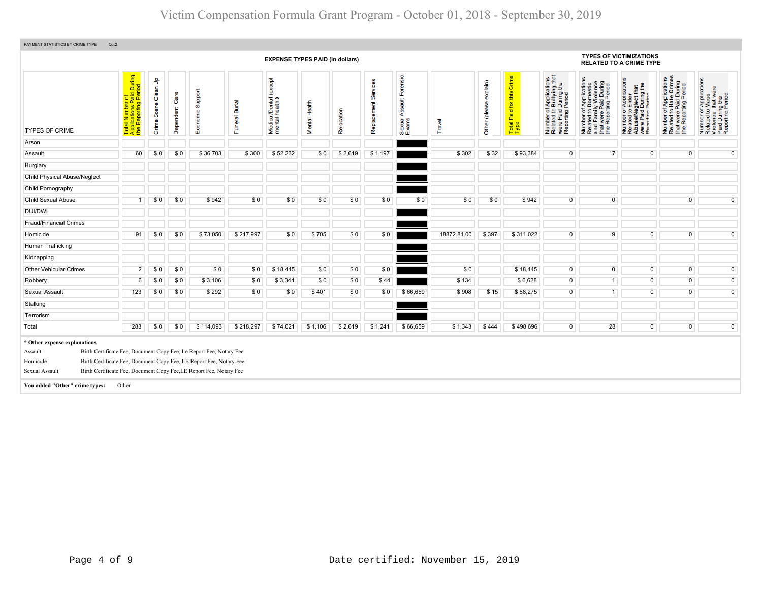| PAYMENT STATISTICS BY CRIME TYPE<br>Qtr:2                                                               |                                                                                  |                      |                   |                                                                                                                                                                                                                   |                          |                                        |               |            |                      |                                  |             |                           |                                         |                                                                                                |                                                                                                                       |                                                                                                              |                                                                                                   |                                                                                                        |
|---------------------------------------------------------------------------------------------------------|----------------------------------------------------------------------------------|----------------------|-------------------|-------------------------------------------------------------------------------------------------------------------------------------------------------------------------------------------------------------------|--------------------------|----------------------------------------|---------------|------------|----------------------|----------------------------------|-------------|---------------------------|-----------------------------------------|------------------------------------------------------------------------------------------------|-----------------------------------------------------------------------------------------------------------------------|--------------------------------------------------------------------------------------------------------------|---------------------------------------------------------------------------------------------------|--------------------------------------------------------------------------------------------------------|
|                                                                                                         |                                                                                  |                      |                   |                                                                                                                                                                                                                   |                          | <b>EXPENSE TYPES PAID (in dollars)</b> |               |            |                      |                                  |             |                           |                                         |                                                                                                |                                                                                                                       | <b>TYPES OF VICTIMIZATIONS</b><br><b>RELATED TO A CRIME TYPE</b>                                             |                                                                                                   |                                                                                                        |
| <b>TYPES OF CRIME</b>                                                                                   | During<br>iod<br>plications Paid I<br>Reporting Peri<br>Total<br>Applic<br>the R | Crime Scene Clean Up | Care<br>Dependent | Support<br>Economic                                                                                                                                                                                               | <b>Burial</b><br>Funeral | except<br>Medical/Dental (             | Mental Health | Relocation | Replacement Services | Sexual Assault Forensic<br>Exams | Travel      | explain)<br>Other (please | Crime<br>Paid for this<br>Total<br>Type | Number of Applications<br>Related to Bullying that<br>were Paid During the<br>Reporting Period | Number of Applications<br>Related to Domestic<br>and Family Violence<br>that were Paid During<br>the Reporting Period | Number of Applications<br>Related to Elder<br>Abuse/Neglect that<br>were Paid During the<br>Renorting Pariod | Number of Applications<br>Related to Hate Crimes<br>that were Paid During<br>the Reporting Period | Number of Applications<br>Related to Mass<br>Violence that were<br>Paid During the<br>Reporting Period |
| Arson                                                                                                   |                                                                                  |                      |                   |                                                                                                                                                                                                                   |                          |                                        |               |            |                      |                                  |             |                           |                                         |                                                                                                |                                                                                                                       |                                                                                                              |                                                                                                   |                                                                                                        |
| Assault                                                                                                 | 60                                                                               | SO.                  | \$0               | \$36,703                                                                                                                                                                                                          | \$300                    | \$52,232                               | \$0           | \$2,619    | \$1,197              |                                  | \$302       | \$32                      | \$93,384                                | $\overline{0}$                                                                                 | 17                                                                                                                    | $\Omega$                                                                                                     | $\overline{0}$                                                                                    | $\overline{0}$                                                                                         |
| Burglary                                                                                                |                                                                                  |                      |                   |                                                                                                                                                                                                                   |                          |                                        |               |            |                      |                                  |             |                           |                                         |                                                                                                |                                                                                                                       |                                                                                                              |                                                                                                   |                                                                                                        |
| <b>Child Physical Abuse/Neglect</b>                                                                     |                                                                                  |                      |                   |                                                                                                                                                                                                                   |                          |                                        |               |            |                      |                                  |             |                           |                                         |                                                                                                |                                                                                                                       |                                                                                                              |                                                                                                   |                                                                                                        |
| Child Pornography                                                                                       |                                                                                  |                      |                   |                                                                                                                                                                                                                   |                          |                                        |               |            |                      |                                  |             |                           |                                         |                                                                                                |                                                                                                                       |                                                                                                              |                                                                                                   |                                                                                                        |
| <b>Child Sexual Abuse</b>                                                                               | 1                                                                                | \$0                  | \$0               | \$942                                                                                                                                                                                                             | \$0                      | \$0                                    | \$0           | \$0        | \$0                  | \$0                              | \$0         | \$0                       | \$942                                   | $\overline{0}$                                                                                 | $\overline{0}$                                                                                                        |                                                                                                              | $\overline{0}$                                                                                    | $\overline{0}$                                                                                         |
| <b>DUI/DWI</b>                                                                                          |                                                                                  |                      |                   |                                                                                                                                                                                                                   |                          |                                        |               |            |                      |                                  |             |                           |                                         |                                                                                                |                                                                                                                       |                                                                                                              |                                                                                                   |                                                                                                        |
| <b>Fraud/Financial Crimes</b>                                                                           |                                                                                  |                      |                   |                                                                                                                                                                                                                   |                          |                                        |               |            |                      |                                  |             |                           |                                         |                                                                                                |                                                                                                                       |                                                                                                              |                                                                                                   |                                                                                                        |
| Homicide                                                                                                | 91                                                                               | \$0                  | \$0               | \$73,050                                                                                                                                                                                                          | \$217,997                | \$0                                    | \$705         | \$0        | \$0                  |                                  | 18872.81.00 | \$397                     | \$311,022                               | $\overline{0}$                                                                                 | 9                                                                                                                     | $\overline{0}$                                                                                               | $\overline{0}$                                                                                    | $\overline{0}$                                                                                         |
| Human Trafficking                                                                                       |                                                                                  |                      |                   |                                                                                                                                                                                                                   |                          |                                        |               |            |                      |                                  |             |                           |                                         |                                                                                                |                                                                                                                       |                                                                                                              |                                                                                                   |                                                                                                        |
| Kidnapping                                                                                              |                                                                                  |                      |                   |                                                                                                                                                                                                                   |                          |                                        |               |            |                      |                                  |             |                           |                                         |                                                                                                |                                                                                                                       |                                                                                                              |                                                                                                   |                                                                                                        |
| Other Vehicular Crimes                                                                                  | $\overline{2}$                                                                   | \$0                  | \$0               | \$0                                                                                                                                                                                                               | \$0                      | \$18,445                               | \$0           | \$0        | \$0                  |                                  | \$0         |                           | \$18,445                                | $\overline{0}$                                                                                 | $\overline{0}$                                                                                                        | $\overline{0}$                                                                                               | $\overline{0}$                                                                                    | $\overline{0}$                                                                                         |
| Robbery                                                                                                 | $6\overline{6}$                                                                  | \$0                  | \$0               | \$3,106                                                                                                                                                                                                           | \$0                      | \$3,344                                | \$0           | \$0        | \$44                 |                                  | \$134       |                           | \$6,628                                 | $\overline{0}$                                                                                 | $\overline{1}$                                                                                                        | $\overline{0}$                                                                                               | $\overline{0}$                                                                                    | $\overline{0}$                                                                                         |
| Sexual Assault                                                                                          | 123                                                                              | \$0                  | \$0               | \$292                                                                                                                                                                                                             | \$0                      | \$0                                    | \$401         | \$0        | \$0                  | \$66,659                         | \$908       | \$15                      | \$68,275                                | $\overline{0}$                                                                                 | $\overline{1}$                                                                                                        | $\overline{0}$                                                                                               | $\overline{0}$                                                                                    | $\overline{0}$                                                                                         |
| Stalking                                                                                                |                                                                                  |                      |                   |                                                                                                                                                                                                                   |                          |                                        |               |            |                      |                                  |             |                           |                                         |                                                                                                |                                                                                                                       |                                                                                                              |                                                                                                   |                                                                                                        |
| Terrorism                                                                                               |                                                                                  |                      |                   |                                                                                                                                                                                                                   |                          |                                        |               |            |                      |                                  |             |                           |                                         |                                                                                                |                                                                                                                       |                                                                                                              |                                                                                                   |                                                                                                        |
| Total                                                                                                   | 283                                                                              | \$0                  | \$0               | \$114,093                                                                                                                                                                                                         | \$218,297                | \$74,021                               | \$1,106       | \$2,619    | \$1,241              | \$66,659                         | \$1,343     | \$444                     | \$498,696                               | $\overline{0}$                                                                                 | 28                                                                                                                    | $\overline{0}$                                                                                               | $\overline{0}$                                                                                    | $\overline{0}$                                                                                         |
| * Other expense explanations<br>Assault<br>Homicide<br>Sexual Assault<br>You added "Other" crime types: | Other                                                                            |                      |                   | Birth Certificate Fee, Document Copy Fee, Le Report Fee, Notary Fee<br>Birth Certificate Fee, Document Copy Fee, LE Report Fee, Notary Fee<br>Birth Certificate Fee, Document Copy Fee, LE Report Fee, Notary Fee |                          |                                        |               |            |                      |                                  |             |                           |                                         |                                                                                                |                                                                                                                       |                                                                                                              |                                                                                                   |                                                                                                        |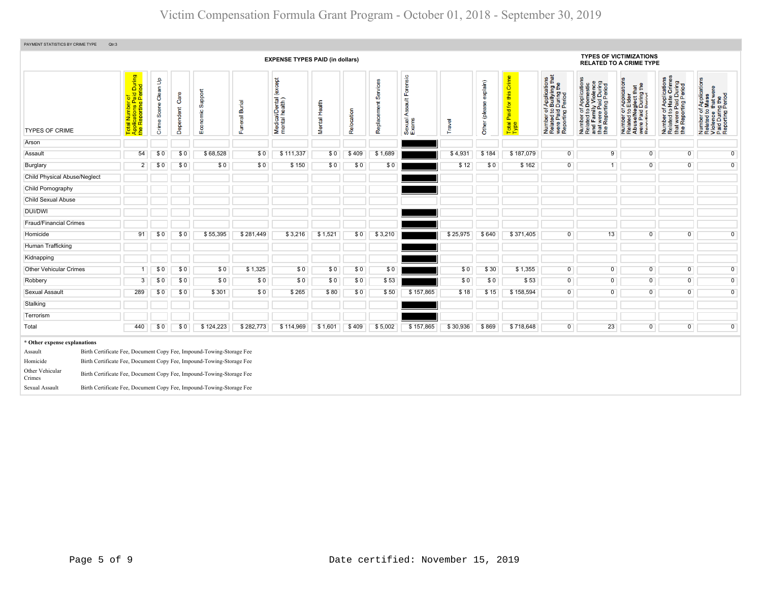| PAYMENT STATISTICS BY CRIME TYPE<br>Qtr:3                                                                                                                                                                                                                                                                                                                                                          |                                                                                                                      |                            |                   |                     |                          |                                              |               |            |                         |                                       |          |                           |                                         |                                                                                                                             |                                                                                                                             |                                                                                                                                                            |                                                                                                                               |                                                                                                        |
|----------------------------------------------------------------------------------------------------------------------------------------------------------------------------------------------------------------------------------------------------------------------------------------------------------------------------------------------------------------------------------------------------|----------------------------------------------------------------------------------------------------------------------|----------------------------|-------------------|---------------------|--------------------------|----------------------------------------------|---------------|------------|-------------------------|---------------------------------------|----------|---------------------------|-----------------------------------------|-----------------------------------------------------------------------------------------------------------------------------|-----------------------------------------------------------------------------------------------------------------------------|------------------------------------------------------------------------------------------------------------------------------------------------------------|-------------------------------------------------------------------------------------------------------------------------------|--------------------------------------------------------------------------------------------------------|
|                                                                                                                                                                                                                                                                                                                                                                                                    |                                                                                                                      |                            |                   |                     |                          | <b>EXPENSE TYPES PAID (in dollars)</b>       |               |            |                         |                                       |          |                           |                                         |                                                                                                                             |                                                                                                                             | <b>TYPES OF VICTIMIZATIONS</b><br><b>RELATED TO A CRIME TYPE</b>                                                                                           |                                                                                                                               |                                                                                                        |
| <b>TYPES OF CRIME</b>                                                                                                                                                                                                                                                                                                                                                                              | l Number of<br>ications Paid During<br>Reporting Period<br><sup>ilicatio</sup><br>Repor<br>Total<br>Applic<br>the Re | Clean Up<br>Scene<br>Crime | Care<br>Dependent | Support<br>Economic | <b>Burial</b><br>Funeral | except<br>Medical/Dental (<br>mental health) | Mental Health | Relocation | Services<br>Replacement | Forensic<br>Sexual Assault F<br>Exams | Travel   | explain)<br>Other (please | this Crime<br>Paid for<br>Total<br>Type | of Applications<br>o Bullying that<br>1 During the<br>I Period<br>59<br>Number of<br>Related to<br>were Paid<br>Reporting F | Number of Applications<br>Related to Domestic<br>and Family Violence<br>that were Paid During<br>the Reporting Period<br>59 | t Applications<br>· Elder<br><b>glect that</b><br>I During the<br>Period<br>52<br>e/Ner<br>fing<br>Number<br>Related t<br>Abuse/N<br>Were Pai<br>Reporting | f Applications<br>Hate Crimes<br>1 During<br>Period<br>Number of Appl<br>Related to Hate<br>that were Paid<br>the Reporting P | Number of Applications<br>Related to Mass<br>Violence that were<br>Paid During the<br>Reporting Period |
| Arson                                                                                                                                                                                                                                                                                                                                                                                              |                                                                                                                      |                            |                   |                     |                          |                                              |               |            |                         |                                       |          |                           |                                         |                                                                                                                             |                                                                                                                             |                                                                                                                                                            |                                                                                                                               |                                                                                                        |
| Assault                                                                                                                                                                                                                                                                                                                                                                                            | 54                                                                                                                   | \$0                        | \$0               | \$68,528            | \$0                      | \$111,337                                    | \$0           | \$409      | \$1,689                 |                                       | \$4,931  | \$184                     | \$187,079                               | $\overline{0}$                                                                                                              | 9                                                                                                                           | $\overline{0}$                                                                                                                                             | $\overline{0}$                                                                                                                | $\overline{0}$                                                                                         |
| Burglary                                                                                                                                                                                                                                                                                                                                                                                           | $\overline{2}$                                                                                                       | \$0                        | \$0               | \$0                 | \$0                      | \$150                                        | \$0           | \$0        | \$0                     |                                       | \$12     | \$0                       | \$162                                   | $\overline{0}$                                                                                                              | 1                                                                                                                           | $\overline{0}$                                                                                                                                             | $\overline{0}$                                                                                                                | $\overline{0}$                                                                                         |
| <b>Child Physical Abuse/Neglect</b>                                                                                                                                                                                                                                                                                                                                                                |                                                                                                                      |                            |                   |                     |                          |                                              |               |            |                         |                                       |          |                           |                                         |                                                                                                                             |                                                                                                                             |                                                                                                                                                            |                                                                                                                               |                                                                                                        |
| Child Pornography                                                                                                                                                                                                                                                                                                                                                                                  |                                                                                                                      |                            |                   |                     |                          |                                              |               |            |                         |                                       |          |                           |                                         |                                                                                                                             |                                                                                                                             |                                                                                                                                                            |                                                                                                                               |                                                                                                        |
| <b>Child Sexual Abuse</b>                                                                                                                                                                                                                                                                                                                                                                          |                                                                                                                      |                            |                   |                     |                          |                                              |               |            |                         |                                       |          |                           |                                         |                                                                                                                             |                                                                                                                             |                                                                                                                                                            |                                                                                                                               |                                                                                                        |
| DUI/DWI                                                                                                                                                                                                                                                                                                                                                                                            |                                                                                                                      |                            |                   |                     |                          |                                              |               |            |                         |                                       |          |                           |                                         |                                                                                                                             |                                                                                                                             |                                                                                                                                                            |                                                                                                                               |                                                                                                        |
| <b>Fraud/Financial Crimes</b>                                                                                                                                                                                                                                                                                                                                                                      |                                                                                                                      |                            |                   |                     |                          |                                              |               |            |                         |                                       |          |                           |                                         |                                                                                                                             |                                                                                                                             |                                                                                                                                                            |                                                                                                                               |                                                                                                        |
| Homicide                                                                                                                                                                                                                                                                                                                                                                                           | 91                                                                                                                   | \$0                        | \$0               | \$55,395            | \$281,449                | \$3,216                                      | \$1,521       | \$0        | \$3,210                 |                                       | \$25,975 | \$640                     | \$371,405                               | $\overline{0}$                                                                                                              | 13                                                                                                                          | $\overline{0}$                                                                                                                                             | $\overline{0}$                                                                                                                | $\overline{0}$                                                                                         |
| Human Trafficking                                                                                                                                                                                                                                                                                                                                                                                  |                                                                                                                      |                            |                   |                     |                          |                                              |               |            |                         |                                       |          |                           |                                         |                                                                                                                             |                                                                                                                             |                                                                                                                                                            |                                                                                                                               |                                                                                                        |
| Kidnapping                                                                                                                                                                                                                                                                                                                                                                                         |                                                                                                                      |                            |                   |                     |                          |                                              |               |            |                         |                                       |          |                           |                                         |                                                                                                                             |                                                                                                                             |                                                                                                                                                            |                                                                                                                               |                                                                                                        |
| <b>Other Vehicular Crimes</b>                                                                                                                                                                                                                                                                                                                                                                      | -1                                                                                                                   | \$0                        | \$0               | \$0                 | \$1,325                  | \$0                                          | \$0           | \$0        | \$0                     |                                       | \$0      | \$30                      | \$1,355                                 | $\overline{0}$                                                                                                              | $\overline{0}$                                                                                                              | $\overline{0}$                                                                                                                                             | $\overline{0}$                                                                                                                | $\overline{0}$                                                                                         |
| Robbery                                                                                                                                                                                                                                                                                                                                                                                            | $\overline{3}$                                                                                                       | \$0                        | \$0               | \$0                 | \$0                      | \$0                                          | \$0           | \$0        | \$53                    |                                       | \$0      | \$0                       | \$53                                    | $\overline{0}$                                                                                                              | $\overline{0}$                                                                                                              | $\overline{0}$                                                                                                                                             | $\overline{0}$                                                                                                                | $\overline{0}$                                                                                         |
| Sexual Assault                                                                                                                                                                                                                                                                                                                                                                                     | 289                                                                                                                  | \$0                        | \$0               | \$301               | \$0                      | \$265                                        | \$80          | \$0        | \$50                    | \$157,865                             | \$18     | \$15                      | \$158,594                               | $\overline{0}$                                                                                                              | $\overline{0}$                                                                                                              | $\overline{0}$                                                                                                                                             | $\overline{0}$                                                                                                                | $\overline{0}$                                                                                         |
| Stalking                                                                                                                                                                                                                                                                                                                                                                                           |                                                                                                                      |                            |                   |                     |                          |                                              |               |            |                         |                                       |          |                           |                                         |                                                                                                                             |                                                                                                                             |                                                                                                                                                            |                                                                                                                               |                                                                                                        |
| Terrorism                                                                                                                                                                                                                                                                                                                                                                                          |                                                                                                                      |                            |                   |                     |                          |                                              |               |            |                         |                                       |          |                           |                                         |                                                                                                                             |                                                                                                                             |                                                                                                                                                            |                                                                                                                               |                                                                                                        |
| Total                                                                                                                                                                                                                                                                                                                                                                                              | 440                                                                                                                  | \$0                        | \$0               | \$124,223           | \$282,773                | \$114,969                                    | \$1,601       | \$409      | \$5,002                 | \$157,865                             | \$30,936 | \$869                     | \$718,648                               | $\overline{0}$                                                                                                              | 23                                                                                                                          | $\overline{0}$                                                                                                                                             | $\overline{0}$                                                                                                                | $\overline{0}$                                                                                         |
| * Other expense explanations<br>Birth Certificate Fee, Document Copy Fee, Impound-Towing-Storage Fee<br>Assault<br>Birth Certificate Fee, Document Copy Fee, Impound-Towing-Storage Fee<br>Homicide<br>Other Vehicular<br>Birth Certificate Fee, Document Copy Fee, Impound-Towing-Storage Fee<br>Crimes<br>Birth Certificate Fee, Document Copy Fee, Impound-Towing-Storage Fee<br>Sexual Assault |                                                                                                                      |                            |                   |                     |                          |                                              |               |            |                         |                                       |          |                           |                                         |                                                                                                                             |                                                                                                                             |                                                                                                                                                            |                                                                                                                               |                                                                                                        |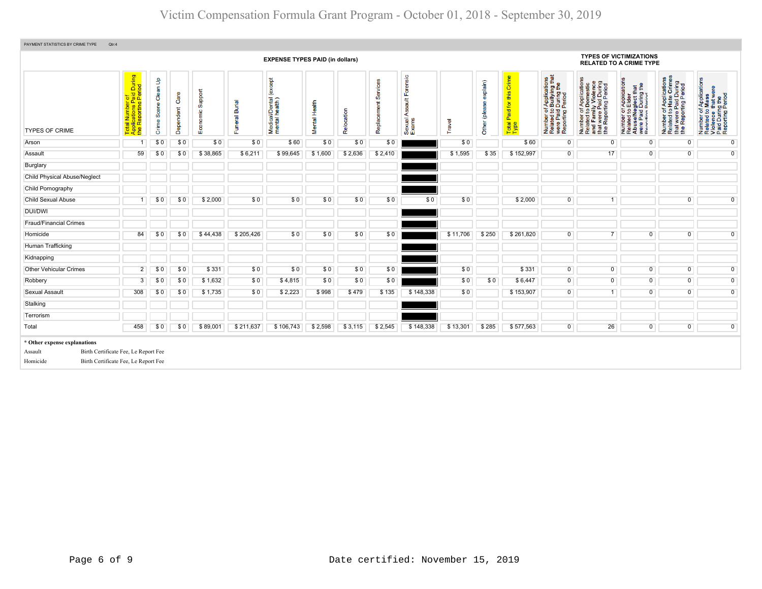| PAYMENT STATISTICS BY CRIME TYPE<br>Qtr:4                                                                                           |                                                                                                        |                      |                   |                     |                          |                                               |               |            |                         |                                        |          |                           |                                            |                                                                                                                                  |                                                                                                                                                                    |                                                                                                                                                          |                                                                                                                                   |                                                                                                        |  |
|-------------------------------------------------------------------------------------------------------------------------------------|--------------------------------------------------------------------------------------------------------|----------------------|-------------------|---------------------|--------------------------|-----------------------------------------------|---------------|------------|-------------------------|----------------------------------------|----------|---------------------------|--------------------------------------------|----------------------------------------------------------------------------------------------------------------------------------|--------------------------------------------------------------------------------------------------------------------------------------------------------------------|----------------------------------------------------------------------------------------------------------------------------------------------------------|-----------------------------------------------------------------------------------------------------------------------------------|--------------------------------------------------------------------------------------------------------|--|
| <b>EXPENSE TYPES PAID (in dollars)</b>                                                                                              |                                                                                                        |                      |                   |                     |                          |                                               |               |            |                         |                                        |          |                           |                                            |                                                                                                                                  | <b>TYPES OF VICTIMIZATIONS</b><br><b>RELATED TO A CRIME TYPE</b>                                                                                                   |                                                                                                                                                          |                                                                                                                                   |                                                                                                        |  |
| <b>TYPES OF CRIME</b>                                                                                                               | During<br>iod<br>al Number of<br>plications Paid I<br>Reporting Perio<br>ž<br>Total<br>Applic<br>the R | Crime Scene Clean Up | Care<br>Dependent | Support<br>Economic | <b>Burial</b><br>Funeral | (except<br>Medical/Dental (<br>mental health) | Mental Health | Relocation | Services<br>Replacement | Forensic<br>Assault<br>Sexual<br>Exams | Travel   | explain)<br>Other (please | Crime<br>this<br>Paid for<br>Total<br>Type | f Applications<br>Bullying that<br>During the<br>During<br>Period<br>52<br>Number of<br>Related to<br>were Paid I<br>Reporting F | f Applications<br>Domestic<br>ly Violence<br>Number of Applications<br>Related to Domestic<br>and Family Violence<br>that were Paid During<br>the Reporting Period | T Applications<br>b Elder<br>9glect that<br>During the<br>Period<br>Number of <i>I</i><br>Related to <b>E</b><br>Abuse/Neg<br>were Paid L<br>Reporting P | f Applications<br>Hate Crimes<br>tt were Paid During<br>Beporting Period<br>$\frac{1}{6}$<br>Number<br>Related t<br>that<br>the F | Number of Applications<br>Related to Mass<br>Violence that were<br>Paid During the<br>Reporting Period |  |
| Arson                                                                                                                               | -1                                                                                                     | \$0                  | \$0               | \$0                 | \$0                      | \$60                                          | \$0           | \$0        | \$0                     |                                        | \$0      |                           | \$60                                       | $\overline{0}$                                                                                                                   | $\overline{0}$                                                                                                                                                     | $\overline{0}$                                                                                                                                           | $\overline{0}$                                                                                                                    | $\overline{0}$                                                                                         |  |
| Assault                                                                                                                             | 59                                                                                                     | \$0                  | \$0               | \$38,865            | \$6,211                  | \$99,645                                      | \$1,600       | \$2,636    | \$2,410                 |                                        | \$1,595  | \$35                      | \$152,997                                  | $\overline{0}$                                                                                                                   | 17                                                                                                                                                                 | $\overline{0}$                                                                                                                                           | $\overline{0}$                                                                                                                    | $\overline{0}$                                                                                         |  |
| Burglary                                                                                                                            |                                                                                                        |                      |                   |                     |                          |                                               |               |            |                         |                                        |          |                           |                                            |                                                                                                                                  |                                                                                                                                                                    |                                                                                                                                                          |                                                                                                                                   |                                                                                                        |  |
| <b>Child Physical Abuse/Neglect</b>                                                                                                 |                                                                                                        |                      |                   |                     |                          |                                               |               |            |                         |                                        |          |                           |                                            |                                                                                                                                  |                                                                                                                                                                    |                                                                                                                                                          |                                                                                                                                   |                                                                                                        |  |
| Child Pornography                                                                                                                   |                                                                                                        |                      |                   |                     |                          |                                               |               |            |                         |                                        |          |                           |                                            |                                                                                                                                  |                                                                                                                                                                    |                                                                                                                                                          |                                                                                                                                   |                                                                                                        |  |
| <b>Child Sexual Abuse</b>                                                                                                           | -1                                                                                                     | \$0                  | \$0               | \$2,000             | \$0                      | \$0                                           | \$0           | \$0        | \$0                     | \$0                                    | \$0      |                           | \$2,000                                    | $\overline{0}$                                                                                                                   | $\overline{1}$                                                                                                                                                     |                                                                                                                                                          | $\overline{0}$                                                                                                                    | $\overline{0}$                                                                                         |  |
| <b>DUI/DWI</b>                                                                                                                      |                                                                                                        |                      |                   |                     |                          |                                               |               |            |                         |                                        |          |                           |                                            |                                                                                                                                  |                                                                                                                                                                    |                                                                                                                                                          |                                                                                                                                   |                                                                                                        |  |
| <b>Fraud/Financial Crimes</b>                                                                                                       |                                                                                                        |                      |                   |                     |                          |                                               |               |            |                         |                                        |          |                           |                                            |                                                                                                                                  |                                                                                                                                                                    |                                                                                                                                                          |                                                                                                                                   |                                                                                                        |  |
| Homicide                                                                                                                            | 84                                                                                                     | \$0                  | \$0               | \$44,438            | \$205,426                | \$0                                           | \$0           | \$0        | \$0                     |                                        | \$11,706 | \$250                     | \$261,820                                  | $\overline{0}$                                                                                                                   | $\overline{7}$                                                                                                                                                     | $\Omega$                                                                                                                                                 | $\overline{0}$                                                                                                                    | $\overline{0}$                                                                                         |  |
| Human Trafficking                                                                                                                   |                                                                                                        |                      |                   |                     |                          |                                               |               |            |                         |                                        |          |                           |                                            |                                                                                                                                  |                                                                                                                                                                    |                                                                                                                                                          |                                                                                                                                   |                                                                                                        |  |
| Kidnapping                                                                                                                          |                                                                                                        |                      |                   |                     |                          |                                               |               |            |                         |                                        |          |                           |                                            |                                                                                                                                  |                                                                                                                                                                    |                                                                                                                                                          |                                                                                                                                   |                                                                                                        |  |
| Other Vehicular Crimes                                                                                                              | $\overline{2}$                                                                                         | \$0                  | \$0               | \$331               | \$0                      | \$0                                           | \$0           | \$0        | \$0                     |                                        | \$0      |                           | \$331                                      | $\overline{0}$                                                                                                                   | $\overline{0}$                                                                                                                                                     | $\overline{0}$                                                                                                                                           | $\overline{0}$                                                                                                                    | $\overline{0}$                                                                                         |  |
| Robbery                                                                                                                             | $\overline{3}$                                                                                         | \$0                  | \$0               | \$1,632             | \$0                      | \$4,815                                       | \$0           | \$0        | \$0                     |                                        | \$0      | \$0                       | \$6,447                                    | $\overline{0}$                                                                                                                   | $\overline{0}$                                                                                                                                                     | $\overline{0}$                                                                                                                                           | $\overline{0}$                                                                                                                    | $\overline{0}$                                                                                         |  |
| <b>Sexual Assault</b>                                                                                                               | 308                                                                                                    | \$0                  | \$0               | \$1,735             | \$0                      | \$2,223                                       | \$998         | \$479      | \$135                   | \$148,338                              | \$0      |                           | \$153,907                                  | $\overline{0}$                                                                                                                   | $\overline{1}$                                                                                                                                                     | $\overline{0}$                                                                                                                                           | $\overline{0}$                                                                                                                    | $\overline{0}$                                                                                         |  |
| Stalking                                                                                                                            |                                                                                                        |                      |                   |                     |                          |                                               |               |            |                         |                                        |          |                           |                                            |                                                                                                                                  |                                                                                                                                                                    |                                                                                                                                                          |                                                                                                                                   |                                                                                                        |  |
| Terrorism                                                                                                                           |                                                                                                        |                      |                   |                     |                          |                                               |               |            |                         |                                        |          |                           |                                            |                                                                                                                                  |                                                                                                                                                                    |                                                                                                                                                          |                                                                                                                                   |                                                                                                        |  |
| Total                                                                                                                               | 458                                                                                                    | \$0                  | \$0               | \$89.001            | \$211,637                | \$106,743                                     | \$2,598       | \$3,115    | \$2,545                 | \$148,338                              | \$13,301 | \$285                     | \$577,563                                  | $\overline{0}$                                                                                                                   | 26                                                                                                                                                                 | $\overline{0}$                                                                                                                                           | $\overline{0}$                                                                                                                    | $\overline{0}$                                                                                         |  |
| * Other expense explanations<br>Birth Certificate Fee, Le Report Fee<br>Assault<br>Birth Certificate Fee, Le Report Fee<br>Homicide |                                                                                                        |                      |                   |                     |                          |                                               |               |            |                         |                                        |          |                           |                                            |                                                                                                                                  |                                                                                                                                                                    |                                                                                                                                                          |                                                                                                                                   |                                                                                                        |  |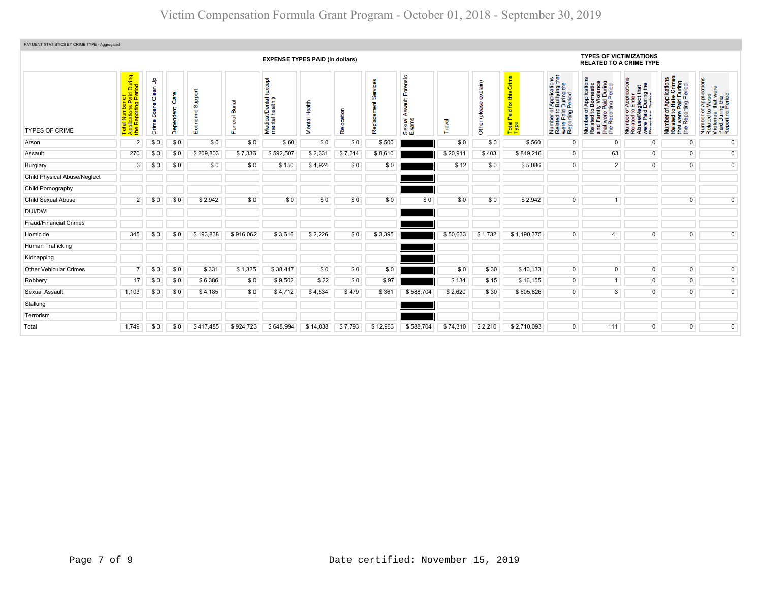| PAYMENT STATISTICS BY CRIME TYPE - Aggregated |                                                                               |                                         |               |                        |                            |                                             |                         |                    |                      |                                                         |          |                           |                                                            |                                                                                                |                                                                                                                       |                                                                                                              |                                                                                                   |                                                                                                        |  |  |  |
|-----------------------------------------------|-------------------------------------------------------------------------------|-----------------------------------------|---------------|------------------------|----------------------------|---------------------------------------------|-------------------------|--------------------|----------------------|---------------------------------------------------------|----------|---------------------------|------------------------------------------------------------|------------------------------------------------------------------------------------------------|-----------------------------------------------------------------------------------------------------------------------|--------------------------------------------------------------------------------------------------------------|---------------------------------------------------------------------------------------------------|--------------------------------------------------------------------------------------------------------|--|--|--|
|                                               | <b>EXPENSE TYPES PAID (in dollars)</b>                                        |                                         |               |                        |                            |                                             |                         |                    |                      |                                                         |          |                           |                                                            |                                                                                                | <b>TYPES OF VICTIMIZATIONS</b><br><b>RELATED TO A CRIME TYPE</b>                                                      |                                                                                                              |                                                                                                   |                                                                                                        |  |  |  |
| <b>TYPES OF CRIME</b>                         | Paid During<br>Period<br>plications Pa<br>Reporting F<br>ž<br><b>APP</b><br>ಕ | $\mathbf{f}$<br>Clean<br>Scene<br>Crime | Care<br>Deper | Support<br>ပ<br>$E$ co | <b>Burial</b><br>eral<br>훈 | (except<br>Medical/Dental<br>mental health) | Health<br><b>Mental</b> | ₽<br>$\sigma$<br>Ñ | Replacement Services | orensic<br>$\frac{4}{3}$<br>တ္တ<br>⋖<br>Sexual<br>Exams | Travel   | explain)<br>Other (please | Crime<br>ശ<br>语<br>$\overline{5}$<br>Paid<br>Total<br>Type | Number of Applications<br>Related to Bullying that<br>were Paid During the<br>Reporting Period | Number of Applications<br>Related to Domestic<br>and Family Violence<br>that were Paid During<br>the Reporting Period | Number of Applications<br>Related to Elder<br>Abuse/Neglect that<br>were Paid During the<br>Renorting Period | Number of Applications<br>Related to Hate Crimes<br>that were Paid During<br>the Reporting Period | Number of Applications<br>Related to Mass<br>Violence that were<br>Paid During the<br>Reporting Period |  |  |  |
| Arson                                         | $\overline{2}$                                                                | \$0                                     | \$0           | \$0                    | \$0                        | \$60                                        | \$0                     | \$0                | \$500                |                                                         | \$0      | \$0                       | \$560                                                      | 0                                                                                              | $\Omega$                                                                                                              | 0                                                                                                            | $\overline{0}$                                                                                    | $\overline{0}$                                                                                         |  |  |  |
| Assault                                       | 270                                                                           | \$0                                     | \$0           | \$209,803              | \$7,336                    | \$592,507                                   | \$2,331                 | \$7,314            | \$8,610              |                                                         | \$20,911 | \$403                     | \$849,216                                                  | $\overline{0}$                                                                                 | 63                                                                                                                    | 0                                                                                                            | $\overline{0}$                                                                                    | $\overline{0}$                                                                                         |  |  |  |
| Burglary                                      | 3                                                                             | \$0                                     | \$0           | \$0                    | \$0                        | \$150                                       | \$4,924                 | \$0                | \$0                  |                                                         | \$12     | \$0                       | \$5,086                                                    | $\overline{0}$                                                                                 | $\overline{2}$                                                                                                        | $\overline{0}$                                                                                               | $\overline{0}$                                                                                    | $\overline{0}$                                                                                         |  |  |  |
| <b>Child Physical Abuse/Neglect</b>           |                                                                               |                                         |               |                        |                            |                                             |                         |                    |                      |                                                         |          |                           |                                                            |                                                                                                |                                                                                                                       |                                                                                                              |                                                                                                   |                                                                                                        |  |  |  |
| Child Pornography                             |                                                                               |                                         |               |                        |                            |                                             |                         |                    |                      |                                                         |          |                           |                                                            |                                                                                                |                                                                                                                       |                                                                                                              |                                                                                                   |                                                                                                        |  |  |  |
| Child Sexual Abuse                            | $\overline{2}$                                                                | \$0                                     | \$0           | \$2,942                | \$0                        | \$0                                         | \$0                     | \$0                | \$0                  | \$0                                                     | \$0      | \$0                       | \$2,942                                                    | $\overline{0}$                                                                                 |                                                                                                                       |                                                                                                              | $\mathbf{0}$                                                                                      | $\overline{0}$                                                                                         |  |  |  |
| <b>DUI/DWI</b>                                |                                                                               |                                         |               |                        |                            |                                             |                         |                    |                      |                                                         |          |                           |                                                            |                                                                                                |                                                                                                                       |                                                                                                              |                                                                                                   |                                                                                                        |  |  |  |
| <b>Fraud/Financial Crimes</b>                 |                                                                               |                                         |               |                        |                            |                                             |                         |                    |                      |                                                         |          |                           |                                                            |                                                                                                |                                                                                                                       |                                                                                                              |                                                                                                   |                                                                                                        |  |  |  |
| Homicide                                      | 345                                                                           | \$0                                     | \$0           | \$193,838              | \$916,062                  | \$3,616                                     | \$2,226                 | \$0                | \$3,395              |                                                         | \$50.633 | \$1,732                   | \$1,190,375                                                | $\overline{0}$                                                                                 | 41                                                                                                                    | $\Omega$                                                                                                     | $\overline{0}$                                                                                    | $\overline{0}$                                                                                         |  |  |  |
| Human Trafficking                             |                                                                               |                                         |               |                        |                            |                                             |                         |                    |                      |                                                         |          |                           |                                                            |                                                                                                |                                                                                                                       |                                                                                                              |                                                                                                   |                                                                                                        |  |  |  |
| Kidnapping                                    |                                                                               |                                         |               |                        |                            |                                             |                         |                    |                      |                                                         |          |                           |                                                            |                                                                                                |                                                                                                                       |                                                                                                              |                                                                                                   |                                                                                                        |  |  |  |
| <b>Other Vehicular Crimes</b>                 |                                                                               | \$0                                     | \$0           | \$331                  | \$1,325                    | \$38,447                                    | \$0                     | \$0                | \$0                  |                                                         | \$0      | \$30                      | \$40,133                                                   | $\overline{0}$                                                                                 | $\overline{0}$                                                                                                        | $\overline{0}$                                                                                               | $\overline{0}$                                                                                    | $\overline{0}$                                                                                         |  |  |  |
| Robbery                                       | 17                                                                            | \$0                                     | \$0           | \$6,386                | \$0                        | \$9,502                                     | \$22                    | \$0                | \$97                 |                                                         | \$134    | \$15                      | \$16,155                                                   | $\overline{0}$                                                                                 |                                                                                                                       | 0                                                                                                            | $\overline{0}$                                                                                    | $\overline{0}$                                                                                         |  |  |  |
| Sexual Assault                                | 1,103                                                                         | \$0                                     | \$0           | \$4,185                | \$0                        | \$4,712                                     | \$4,534                 | \$479              | \$361                | \$588,704                                               | \$2,620  | \$30                      | \$605,626                                                  | $\overline{0}$                                                                                 | $\overline{3}$                                                                                                        | $\overline{0}$                                                                                               | $\overline{0}$                                                                                    | $\overline{0}$                                                                                         |  |  |  |
| Stalking                                      |                                                                               |                                         |               |                        |                            |                                             |                         |                    |                      |                                                         |          |                           |                                                            |                                                                                                |                                                                                                                       |                                                                                                              |                                                                                                   |                                                                                                        |  |  |  |
| Terrorism                                     |                                                                               |                                         |               |                        |                            |                                             |                         |                    |                      |                                                         |          |                           |                                                            |                                                                                                |                                                                                                                       |                                                                                                              |                                                                                                   |                                                                                                        |  |  |  |
| Total                                         | 1.749                                                                         | \$0                                     | \$0           | \$417,485              | \$924,723                  | \$648,994                                   | \$14,038                | \$7,793            | \$12,963             | \$588,704                                               | \$74,310 | \$2,210                   | \$2,710,093                                                | $\overline{0}$                                                                                 | 111                                                                                                                   | $\overline{0}$                                                                                               | $\overline{0}$                                                                                    | $\overline{0}$                                                                                         |  |  |  |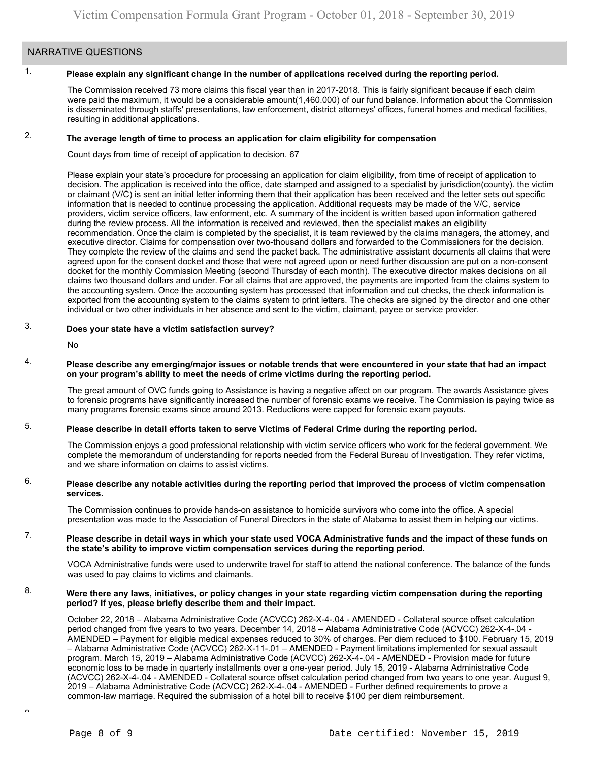### NARRATIVE QUESTIONS

#### 1. **Please explain any significant change in the number of applications received during the reporting period.**

The Commission received 73 more claims this fiscal year than in 2017-2018. This is fairly significant because if each claim were paid the maximum, it would be a considerable amount(1,460.000) of our fund balance. Information about the Commission is disseminated through staffs' presentations, law enforcement, district attorneys' offices, funeral homes and medical facilities, resulting in additional applications.

#### 2. **The average length of time to process an application for claim eligibility for compensation**

Count days from time of receipt of application to decision. 67

Please explain your state's procedure for processing an application for claim eligibility, from time of receipt of application to decision. The application is received into the office, date stamped and assigned to a specialist by jurisdiction(county). the victim or claimant (V/C) is sent an initial letter informing them that their application has been received and the letter sets out specific information that is needed to continue processing the application. Additional requests may be made of the V/C, service providers, victim service officers, law enforment, etc. A summary of the incident is written based upon information gathered during the review process. All the information is received and reviewed, then the specialist makes an eligibility recommendation. Once the claim is completed by the specialist, it is team reviewed by the claims managers, the attorney, and executive director. Claims for compensation over two-thousand dollars and forwarded to the Commissioners for the decision. They complete the review of the claims and send the packet back. The administrative assistant documents all claims that were agreed upon for the consent docket and those that were not agreed upon or need further discussion are put on a non-consent docket for the monthly Commission Meeting (second Thursday of each month). The executive director makes decisions on all claims two thousand dollars and under. For all claims that are approved, the payments are imported from the claims system to the accounting system. Once the accounting system has processed that information and cut checks, the check information is exported from the accounting system to the claims system to print letters. The checks are signed by the director and one other individual or two other individuals in her absence and sent to the victim, claimant, payee or service provider.

#### 3. **Does your state have a victim satisfaction survey?**

No

#### 4. **Please describe any emerging/major issues or notable trends that were encountered in your state that had an impact on your program's ability to meet the needs of crime victims during the reporting period.**

The great amount of OVC funds going to Assistance is having a negative affect on our program. The awards Assistance gives to forensic programs have significantly increased the number of forensic exams we receive. The Commission is paying twice as many programs forensic exams since around 2013. Reductions were capped for forensic exam payouts.

#### 5. **Please describe in detail efforts taken to serve Victims of Federal Crime during the reporting period.**

The Commission enjoys a good professional relationship with victim service officers who work for the federal government. We complete the memorandum of understanding for reports needed from the Federal Bureau of Investigation. They refer victims, and we share information on claims to assist victims.

#### 6. **Please describe any notable activities during the reporting period that improved the process of victim compensation services.**

The Commission continues to provide hands-on assistance to homicide survivors who come into the office. A special presentation was made to the Association of Funeral Directors in the state of Alabama to assist them in helping our victims.

#### 7. **Please describe in detail ways in which your state used VOCA Administrative funds and the impact of these funds on the state's ability to improve victim compensation services during the reporting period.**

VOCA Administrative funds were used to underwrite travel for staff to attend the national conference. The balance of the funds was used to pay claims to victims and claimants.

#### 8. **Were there any laws, initiatives, or policy changes in your state regarding victim compensation during the reporting period? If yes, please briefly describe them and their impact.**

October 22, 2018 – Alabama Administrative Code (ACVCC) [262-X-4-.04](https://262-X-4-.04) - AMENDED - Collateral source offset calculation period changed from five years to two years. December 14, 2018 – Alabama Administrative Code (ACVCC) [262-X-4-.04](https://262-X-4-.04) - AMENDED – Payment for eligible medical expenses reduced to 30% of charges. Per diem reduced to \$100. February 15, 2019 – Alabama Administrative Code (ACVCC) [262-X-11-.01](https://262-X-11-.01) – AMENDED - Payment limitations implemented for sexual assault program. March 15, 2019 – Alabama Administrative Code (ACVCC) [262-X-4-.04](https://262-X-4-.04) - AMENDED - Provision made for future economic loss to be made in quarterly installments over a one-year period. July 15, 2019 - Alabama Administrative Code (ACVCC) [262-X-4-.04](https://262-X-4-.04) - AMENDED - Collateral source offset calculation period changed from two years to one year. August 9, 2019 – Alabama Administrative Code (ACVCC) [262-X-4-.04](https://262-X-4-.04) - AMENDED - Further defined requirements to prove a common-law marriage. Required the submission of a hotel bill to receive \$100 per diem reimbursement.